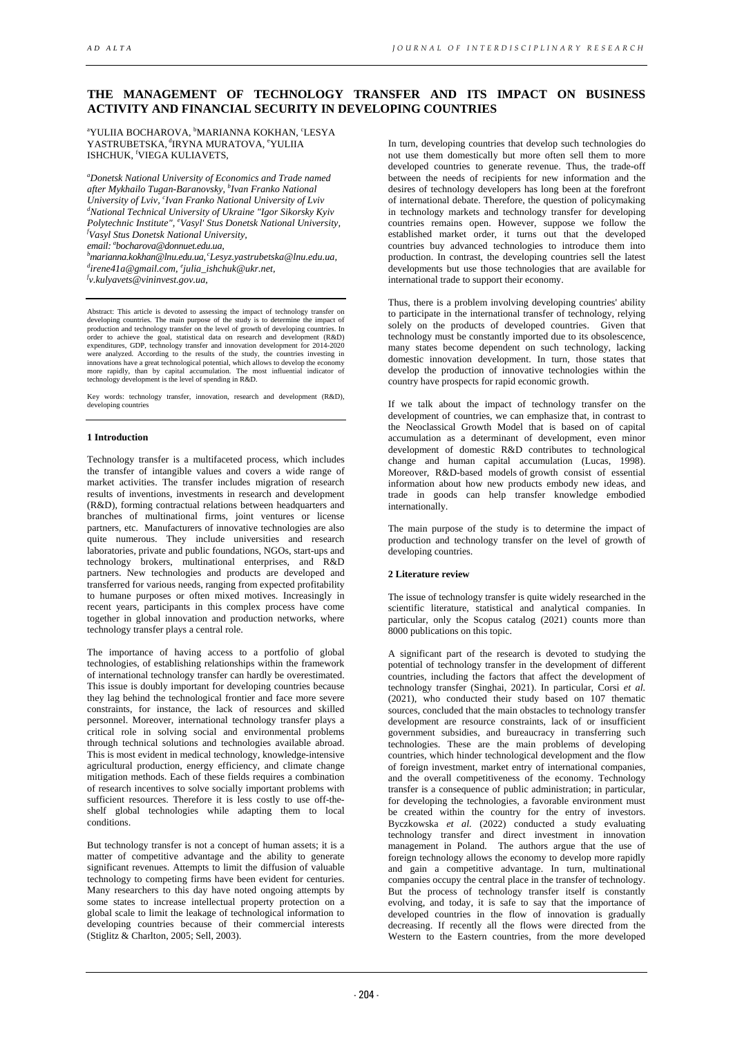# **THE MANAGEMENT OF TECHNOLOGY TRANSFER AND ITS IMPACT ON BUSINESS ACTIVITY AND FINANCIAL SECURITY IN DEVELOPING COUNTRIES**

<sup>a</sup>YULIIA BOCHAROVA, <sup>b</sup>MARIANNA KOKHAN, ʿLESYA YASTRUBETSKA, <sup>d</sup>IRYNA MURATOVA, <sup>e</sup>YULIIA ISHCHUK, <sup>f</sup> VIEGA KULIAVETS,

*a Donetsk National University of Economics and Trade named after Mykhailo Tugan-Baranovsky, b Ivan Franko National*  University of Lviv, <sup>c</sup>Ivan Franko National University of Lviv *d National Technical University of Ukraine "Igor Sikorsky Kyiv Polytechnic Institute", e Vasyl' Stus Donetsk National University, f email: bocharova@donnuet.edu.ua, b Vasyl Stus Donetsk National University, a* <sup>b</sup>marianna.kokhan@lnu.edu.ua,<sup>c</sup>Lesyz.yastrubetska@lnu.e[d](mailto:marianna.kokhan@lnu.edu.ua)u.ua,<br><sup>d</sup>irene41a@amail.com, <sup>e</sup>iylia, ishehyl@ylr.net

<sup>d</sup>irene41a@gmail.com, <sup>e</sup>julia\_ishchuk@ukr.net,<br><sup>f</sup>y kulyayats@yinipyast.cov.ya *v.kulyavets@vininvest.gov.ua,* 

Abstract: This article is devoted to assessing the impact of technology transfer on<br>developing countries. The main purpose of the study is to determine the impact of<br>production and technology transfer on the level of growt order to achieve the goal, statistical data on research and development (R&D) expenditures, GDP, technology transfer and innovation development for 2014-2020 were analyzed. According to the results of the study, the countries investing in innovations have a great technological potential, which allows to develop the economy more rapidly, than by capital accumulation. The most influential indicator of technology development is the level of spending in R&D.

Key words: technology transfer, innovation, research and development (R&D), developing countries

#### **1 Introduction**

Technology transfer is a multifaceted process, which includes the transfer of intangible values and covers a wide range of market activities. The transfer includes migration of research results of inventions, investments in research and development (R&D), forming contractual relations between headquarters and branches of multinational firms, joint ventures or license partners, etc. Manufacturers of innovative technologies are also quite numerous. They include universities and research laboratories, private and public foundations, NGOs, start-ups and technology brokers, multinational enterprises, and R&D partners. New technologies and products are developed and transferred for various needs, ranging from expected profitability to humane purposes or often mixed motives. Increasingly in recent years, participants in this complex process have come together in global innovation and production networks, where technology transfer plays a central role.

The importance of having access to a portfolio of global technologies, of establishing relationships within the framework of international technology transfer can hardly be overestimated. This issue is doubly important for developing countries because they lag behind the technological frontier and face more severe constraints, for instance, the lack of resources and skilled personnel. Moreover, international technology transfer plays a critical role in solving social and environmental problems through technical solutions and technologies available abroad. This is most evident in medical technology, knowledge-intensive agricultural production, energy efficiency, and climate change mitigation methods. Each of these fields requires a combination of research incentives to solve socially important problems with sufficient resources. Therefore it is less costly to use off-theshelf global technologies while adapting them to local conditions.

But technology transfer is not a concept of human assets; it is a matter of competitive advantage and the ability to generate significant revenues. Attempts to limit the diffusion of valuable technology to competing firms have been evident for centuries. Many researchers to this day have noted ongoing attempts by some states to increase intellectual property protection on a global scale to limit the leakage of technological information to developing countries because of their commercial interests (Stiglitz & Charlton, 2005; Sell, 2003).

In turn, developing countries that develop such technologies do not use them domestically but more often sell them to more developed countries to generate revenue. Thus, the trade-off between the needs of recipients for new information and the desires of technology developers has long been at the forefront of international debate. Therefore, the question of policymaking in technology markets and technology transfer for developing countries remains open. However, suppose we follow the established market order, it turns out that the developed countries buy advanced technologies to introduce them into production. In contrast, the developing countries sell the latest developments but use those technologies that are available for international trade to support their economy.

Thus, there is a problem involving developing countries' ability to participate in the international transfer of technology, relying solely on the products of developed countries. Given that technology must be constantly imported due to its obsolescence, many states become dependent on such technology, lacking domestic innovation development. In turn, those states that develop the production of innovative technologies within the country have prospects for rapid economic growth.

If we talk about the impact of technology transfer on the development of countries, we can emphasize that, in contrast to the Neoclassical Growth Model that is based on of capital accumulation as a determinant of development, even minor development of domestic R&D contributes to technological change and human capital accumulation (Lucas, 1998). Moreover, R&D-based models of growth consist of essential information about how new products embody new ideas, and trade in goods can help transfer knowledge embodied internationally.

The main purpose of the study is to determine the impact of production and technology transfer on the level of growth of developing countries.

## **2 Literature review**

The issue of technology transfer is quite widely researched in the scientific literature, statistical and analytical companies. In particular, only the Scopus catalog (2021) counts more than 8000 publications on this topic.

A significant part of the research is devoted to studying the potential of technology transfer in the development of different countries, including the factors that affect the development of technology transfer (Singhai, 2021). In particular, Corsi *et al.* (2021), who conducted their study based on 107 thematic sources, concluded that the main obstacles to technology transfer development are resource constraints, lack of or insufficient government subsidies, and bureaucracy in transferring such technologies. These are the main problems of developing countries, which hinder technological development and the flow of foreign investment, market entry of international companies, and the overall competitiveness of the economy. Technology transfer is a consequence of public administration; in particular, for developing the technologies, a favorable environment must be created within the country for the entry of investors. Byczkowska *et al.* (2022) conducted a study evaluating technology transfer and direct investment in innovation management in Poland. The authors argue that the use of foreign technology allows the economy to develop more rapidly and gain a competitive advantage. In turn, multinational companies occupy the central place in the transfer of technology. But the process of technology transfer itself is constantly evolving, and today, it is safe to say that the importance of developed countries in the flow of innovation is gradually decreasing. If recently all the flows were directed from the Western to the Eastern countries, from the more developed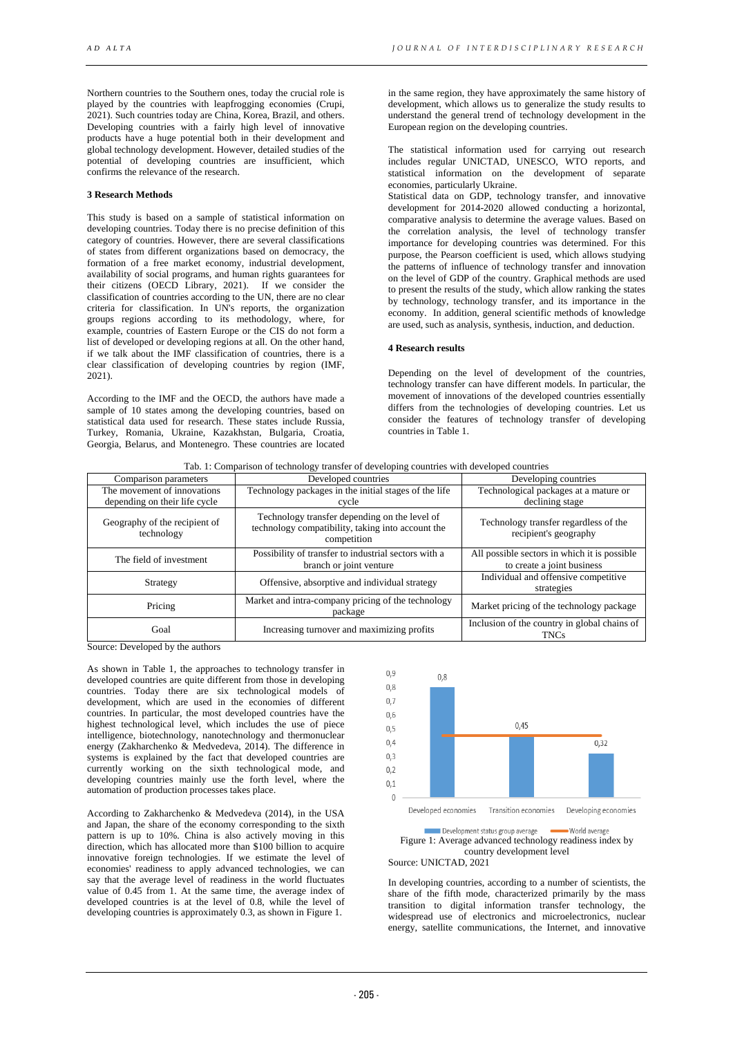Northern countries to the Southern ones, today the crucial role is played by the countries with leapfrogging economies (Crupi, 2021). Such countries today are China, Korea, Brazil, and others. Developing countries with a fairly high level of innovative products have a huge potential both in their development and global technology development. However, detailed studies of the potential of developing countries are insufficient, which confirms the relevance of the research.

#### **3 Research Methods**

This study is based on a sample of statistical information on developing countries. Today there is no precise definition of this category of countries. However, there are several classifications of states from different organizations based on democracy, the formation of a free market economy, industrial development, availability of social programs, and human rights guarantees for their citizens (OECD Library, 2021). If we consider the classification of countries according to the UN, there are no clear criteria for classification. In UN's reports, the organization groups regions according to its methodology, where, for example, countries of Eastern Europe or the CIS do not form a list of developed or developing regions at all. On the other hand, if we talk about the IMF classification of countries, there is a clear classification of developing countries by region (IMF, 2021).

According to the IMF and the OECD, the authors have made a sample of 10 states among the developing countries, based on statistical data used for research. These states include Russia, Turkey, Romania, Ukraine, Kazakhstan, Bulgaria, Croatia, Georgia, Belarus, and Montenegro. These countries are located

in the same region, they have approximately the same history of development, which allows us to generalize the study results to understand the general trend of technology development in the European region on the developing countries.

The statistical information used for carrying out research includes regular UNICTAD, UNESCO, WTO reports, and statistical information on the development of separate economies, particularly Ukraine.

Statistical data on GDP, technology transfer, and innovative development for 2014-2020 allowed conducting a horizontal, comparative analysis to determine the average values. Based on the correlation analysis, the level of technology transfer importance for developing countries was determined. For this purpose, the Pearson coefficient is used, which allows studying the patterns of influence of technology transfer and innovation on the level of GDP of the country. Graphical methods are used to present the results of the study, which allow ranking the states by technology, technology transfer, and its importance in the economy. In addition, general scientific methods of knowledge are used, such as analysis, synthesis, induction, and deduction.

## **4 Research results**

Depending on the level of development of the countries, technology transfer can have different models. In particular, the movement of innovations of the developed countries essentially differs from the technologies of developing countries. Let us consider the features of technology transfer of developing countries in Table 1.

| Comparison parameters                       | Developed countries                                                                                               | Developing countries                                                       |
|---------------------------------------------|-------------------------------------------------------------------------------------------------------------------|----------------------------------------------------------------------------|
| The movement of innovations                 | Technology packages in the initial stages of the life                                                             | Technological packages at a mature or                                      |
| depending on their life cycle               | cycle                                                                                                             | declining stage                                                            |
|                                             |                                                                                                                   |                                                                            |
| Geography of the recipient of<br>technology | Technology transfer depending on the level of<br>technology compatibility, taking into account the<br>competition | Technology transfer regardless of the<br>recipient's geography             |
| The field of investment                     | Possibility of transfer to industrial sectors with a<br>branch or joint venture                                   | All possible sectors in which it is possible<br>to create a joint business |
| Strategy                                    | Offensive, absorptive and individual strategy                                                                     | Individual and offensive competitive<br>strategies                         |
| Pricing                                     | Market and intra-company pricing of the technology<br>package                                                     | Market pricing of the technology package                                   |
| Goal                                        | Increasing turnover and maximizing profits                                                                        | Inclusion of the country in global chains of<br><b>TNCs</b>                |

|  |  |  |  |  |  | Tab. 1: Comparison of technology transfer of developing countries with developed countries |
|--|--|--|--|--|--|--------------------------------------------------------------------------------------------|
|  |  |  |  |  |  |                                                                                            |
|  |  |  |  |  |  |                                                                                            |
|  |  |  |  |  |  |                                                                                            |

Source: Developed by the authors

As shown in Table 1, the approaches to technology transfer in developed countries are quite different from those in developing countries. Today there are six technological models of development, which are used in the economies of different countries. In particular, the most developed countries have the highest technological level, which includes the use of piece intelligence, biotechnology, nanotechnology and thermonuclear energy (Zakharchenko & Medvedeva, 2014). The difference in systems is explained by the fact that developed countries are currently working on the sixth technological mode, and developing countries mainly use the forth level, where the automation of production processes takes place.

According to Zakharchenko & Medvedeva (2014), in the USA and Japan, the share of the economy corresponding to the sixth pattern is up to 10%. China is also actively moving in this direction, which has allocated more than \$100 billion to acquire innovative foreign technologies. If we estimate the level of economies' readiness to apply advanced technologies, we can say that the average level of readiness in the world fluctuates value of 0.45 from 1. At the same time, the average index of developed countries is at the level of 0.8, while the level of developing countries is approximately 0.3, as shown in Figure 1.





## Source: UNICTAD, 2021

In developing countries, according to a number of scientists, the share of the fifth mode, characterized primarily by the mass transition to digital information transfer technology, the widespread use of electronics and microelectronics, nuclear energy, satellite communications, the Internet, and innovative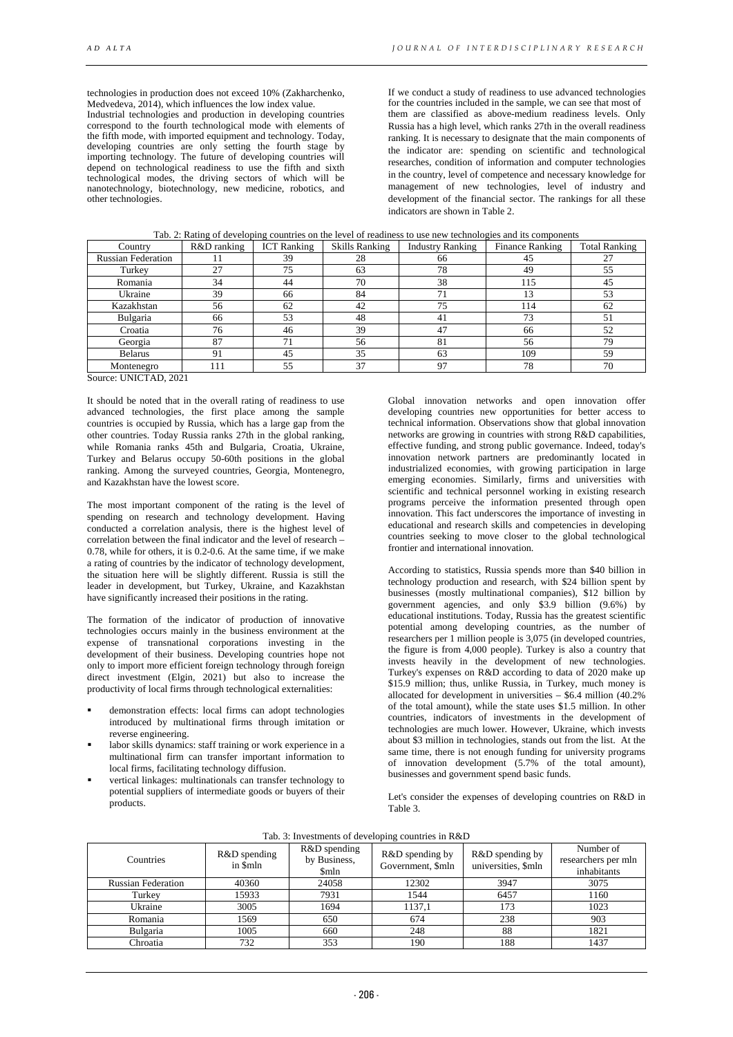technologies in production does not exceed 10% (Zakharchenko, Medvedeva, 2014), which influences the low index value.

Industrial technologies and production in developing countries correspond to the fourth technological mode with elements of the fifth mode, with imported equipment and technology. Today, developing countries are only setting the fourth stage by importing technology. The future of developing countries will depend on technological readiness to use the fifth and sixth technological modes, the driving sectors of which will be nanotechnology, biotechnology, new medicine, robotics, and other technologies.

If we conduct a study of readiness to use advanced technologies for the countries included in the sample, we can see that most of them are classified as above-medium readiness levels. Only Russia has a high level, which ranks 27th in the overall readiness ranking. It is necessary to designate that the main components of the indicator are: spending on scientific and technological researches, condition of information and computer technologies in the country, level of competence and necessary knowledge for management of new technologies, level of industry and development of the financial sector. The rankings for all these indicators are shown in Table 2.

| Tab. 2: Rating of developing countries on the level of readiness to use new technologies and its components |  |  |
|-------------------------------------------------------------------------------------------------------------|--|--|
|                                                                                                             |  |  |
|                                                                                                             |  |  |

| Country                   | R&D ranking | <b>ICT</b> Ranking | <b>Skills Ranking</b> | <b>Industry Ranking</b> | <b>Finance Ranking</b> | <b>Total Ranking</b> |
|---------------------------|-------------|--------------------|-----------------------|-------------------------|------------------------|----------------------|
| <b>Russian Federation</b> |             | 39                 | 28                    | 66                      |                        | 27                   |
| Turkey                    | 27          | 75                 | 63                    | 78                      | 49                     | 55                   |
| Romania                   | 34          | 44                 | 70                    | 38                      | 115                    | 45                   |
| Ukraine                   | 39          | 66                 | 84                    |                         |                        | 53                   |
| Kazakhstan                | 56          | 62                 | 42                    | 75                      | 114                    | 62                   |
| Bulgaria                  | 66          | 53                 | 48                    | 41                      |                        | 51                   |
| Croatia                   | 76          | 46                 | 39                    |                         | 66                     | 52                   |
| Georgia                   | 87          |                    | 56                    | 81                      | 56                     | 79                   |
| <b>Belarus</b>            | 91          | 45                 | 35                    | 63                      | 109                    | 59                   |
| Montenegro                | 111         | 55                 | 37                    | 97                      | 78                     | 70                   |

Source: UNICTAD, 2021

It should be noted that in the overall rating of readiness to use advanced technologies, the first place among the sample countries is occupied by Russia, which has a large gap from the other countries. Today Russia ranks 27th in the global ranking, while Romania ranks 45th and Bulgaria, Croatia, Ukraine, Turkey and Belarus occupy 50-60th positions in the global ranking. Among the surveyed countries, Georgia, Montenegro, and Kazakhstan have the lowest score.

The most important component of the rating is the level of spending on research and technology development. Having conducted a correlation analysis, there is the highest level of correlation between the final indicator and the level of research – 0.78, while for others, it is 0.2-0.6. At the same time, if we make a rating of countries by the indicator of technology development, the situation here will be slightly different. Russia is still the leader in development, but Turkey, Ukraine, and Kazakhstan have significantly increased their positions in the rating.

The formation of the indicator of production of innovative technologies occurs mainly in the business environment at the expense of transnational corporations investing in the development of their business. Developing countries hope not only to import more efficient foreign technology through foreign direct investment (Elgin, 2021) but also to increase the productivity of local firms through technological externalities:

- demonstration effects: local firms can adopt technologies introduced by multinational firms through imitation or reverse engineering.
- labor skills dynamics: staff training or work experience in a multinational firm can transfer important information to local firms, facilitating technology diffusion.
- vertical linkages: multinationals can transfer technology to potential suppliers of intermediate goods or buyers of their products.

Global innovation networks and open innovation offer developing countries new opportunities for better access to technical information. Observations show that global innovation networks are growing in countries with strong R&D capabilities, effective funding, and strong public governance. Indeed, today's innovation network partners are predominantly located in industrialized economies, with growing participation in large emerging economies. Similarly, firms and universities with scientific and technical personnel working in existing research programs perceive the information presented through open innovation. This fact underscores the importance of investing in educational and research skills and competencies in developing countries seeking to move closer to the global technological frontier and international innovation.

According to statistics, Russia spends more than \$40 billion in technology production and research, with \$24 billion spent by businesses (mostly multinational companies), \$12 billion by government agencies, and only \$3.9 billion (9.6%) by educational institutions. Today, Russia has the greatest scientific potential among developing countries, as the number of researchers per 1 million people is 3,075 (in developed countries, the figure is from 4,000 people). Turkey is also a country that invests heavily in the development of new technologies. Turkey's expenses on R&D according to data of 2020 make up \$15.9 million; thus, unlike Russia, in Turkey, much money is allocated for development in universities – \$6.4 million (40.2% of the total amount), while the state uses \$1.5 million. In other countries, indicators of investments in the development of technologies are much lower. However, Ukraine, which invests about \$3 million in technologies, stands out from the list. At the same time, there is not enough funding for university programs of innovation development (5.7% of the total amount), businesses and government spend basic funds.

Let's consider the expenses of developing countries on R&D in Table 3.

|  |  | Tab. 3: Investments of developing countries in R&D |  |  |  |  |  |  |  |
|--|--|----------------------------------------------------|--|--|--|--|--|--|--|
|--|--|----------------------------------------------------|--|--|--|--|--|--|--|

| Countries                 | R&D spending<br>in \$mln | R&D spending<br>by Business,<br>\$mln | R&D spending by<br>Government, \$mln | R&D spending by<br>universities, \$mln | Number of<br>researchers per mln<br>inhabitants |
|---------------------------|--------------------------|---------------------------------------|--------------------------------------|----------------------------------------|-------------------------------------------------|
| <b>Russian Federation</b> | 40360                    | 24058                                 | 12302                                | 3947                                   | 3075                                            |
| Turkey                    | 15933                    | 7931                                  | 1544                                 | 6457                                   | 1160                                            |
| Ukraine                   | 3005                     | 1694                                  | 1137,1                               | 173                                    | 1023                                            |
| Romania                   | 1569                     | 650                                   | 674                                  | 238                                    | 903                                             |
| Bulgaria                  | 1005                     | 660                                   | 248                                  | 88                                     | 1821                                            |
| Chroatia                  | 732                      | 353                                   | 190                                  | 188                                    | 1437                                            |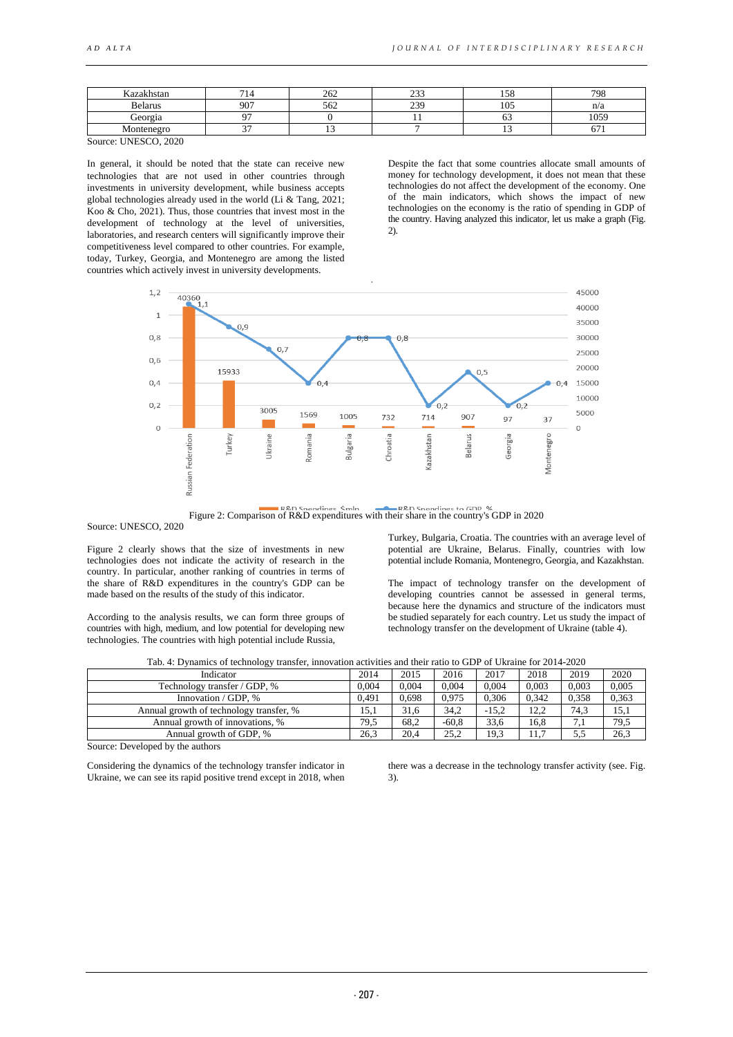| $-$<br>. ozalzhetar<br>ман | -             | 262 | $\sim$<br>ر ب | $\epsilon$<br>. J O | 708  |
|----------------------------|---------------|-----|---------------|---------------------|------|
| <b>Belarus</b>             | 907           | 562 | 20<br>--      | $1 \cap F$<br>∡∪J.  | n/a  |
| Georgia                    | . .           |     |               |                     | 1059 |
| Montenegro                 | $\sim$ $\sim$ |     |               |                     |      |
| --                         |               |     |               |                     |      |

Source: UNESCO, 2020

In general, it should be noted that the state can receive new technologies that are not used in other countries through investments in university development, while business accepts global technologies already used in the world (Li & Tang, 2021; Koo & Cho, 2021). Thus, those countries that invest most in the development of technology at the level of universities, laboratories, and research centers will significantly improve their competitiveness level compared to other countries. For example, today, Turkey, Georgia, and Montenegro are among the listed countries which actively invest in university developments.

Despite the fact that some countries allocate small amounts of money for technology development, it does not mean that these technologies do not affect the development of the economy. One of the main indicators, which shows the impact of new technologies on the economy is the ratio of spending in GDP of the country. Having analyzed this indicator, let us make a graph (Fig. 2).



Figure 2: Comparison of R&D expenditures with their share in the country's GDP in 2020

Source: UNESCO, 2020

Figure 2 clearly shows that the size of investments in new technologies does not indicate the activity of research in the country. In particular, another ranking of countries in terms of the share of R&D expenditures in the country's GDP can be made based on the results of the study of this indicator.

According to the analysis results, we can form three groups of countries with high, medium, and low potential for developing new technologies. The countries with high potential include Russia,

Turkey, Bulgaria, Croatia. The countries with an average level of potential are Ukraine, Belarus. Finally, countries with low potential include Romania, Montenegro, Georgia, and Kazakhstan.

The impact of technology transfer on the development of developing countries cannot be assessed in general terms, because here the dynamics and structure of the indicators must be studied separately for each country. Let us study the impact of technology transfer on the development of Ukraine (table 4).

|  |  | Tab. 4: Dynamics of technology transfer, innovation activities and their ratio to GDP of Ukraine for 2014-2020 |
|--|--|----------------------------------------------------------------------------------------------------------------|
|  |  |                                                                                                                |

| ----                                    |       |       |         |         |       |       |       |
|-----------------------------------------|-------|-------|---------|---------|-------|-------|-------|
| 2014<br>Indicator                       |       | 2015  | 2016    | 2017    | 2018  | 2019  | 2020  |
| Technology transfer / GDP, %            | 0.004 | 0.004 | 0.004   | 0.004   | 0.003 | 0.003 | 0,005 |
| Innovation / GDP, %                     | 0.491 | 0.698 | 0.975   | 0.306   | 0.342 | 0.358 | 0,363 |
| Annual growth of technology transfer, % | 15.1  | 31,6  | 34.2    | $-15.2$ | 12,2  | 74.3  | 15,1  |
| Annual growth of innovations, %         | 79.5  | 68.2  | $-60.8$ | 33.6    | 16,8  | 7,1   | 79,5  |
| Annual growth of GDP, %                 | 26.3  | 20.4  | 25.2    | 19.3    | 11.7  | 5,5   | 26,3  |

Source: Developed by the authors

Considering the dynamics of the technology transfer indicator in Ukraine, we can see its rapid positive trend except in 2018, when there was a decrease in the technology transfer activity (see. Fig. 3).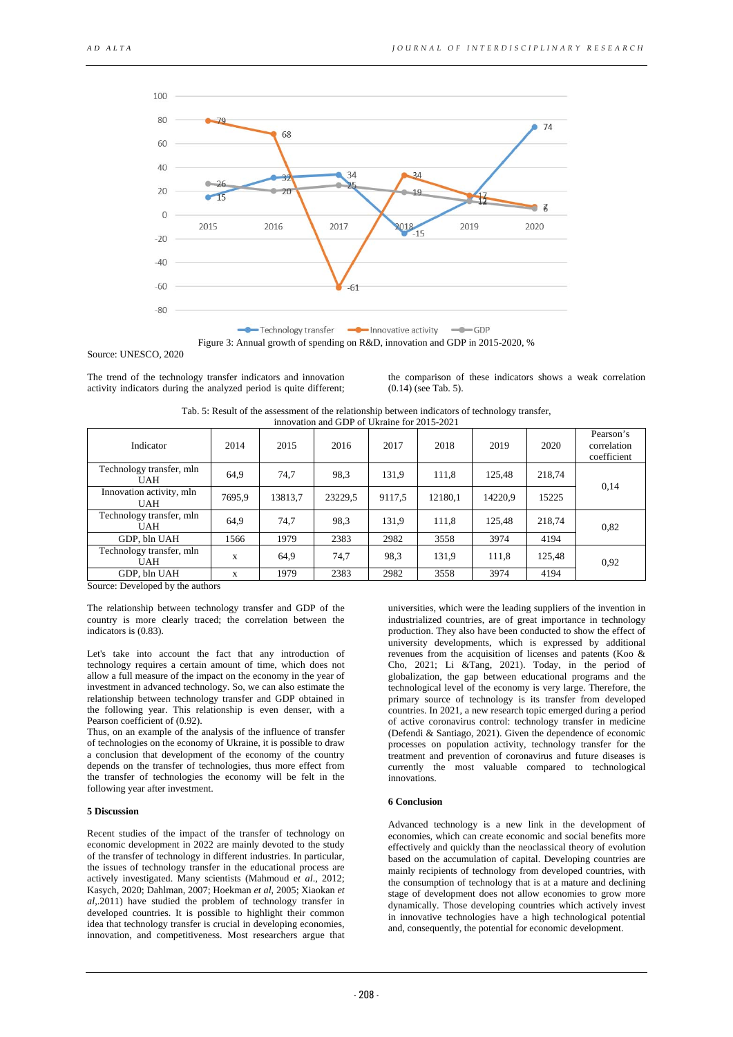

Figure 3: Annual growth of spending on R&D, innovation and GDP in 2015-2020, %

Source: UNESCO, 2020

The trend of the technology transfer indicators and innovation activity indicators during the analyzed period is quite different; the comparison of these indicators shows a weak correlation (0.14) (see Tab. 5).

| Tab. 5: Result of the assessment of the relationship between indicators of technology transfer, |
|-------------------------------------------------------------------------------------------------|
| innovation and GDP of Ukraine for 2015-2021                                                     |

| Indicator                              | 2014   | 2015    | 2016    | 2017   | 2018    | 2019    | 2020   | Pearson's<br>correlation<br>coefficient |
|----------------------------------------|--------|---------|---------|--------|---------|---------|--------|-----------------------------------------|
| Technology transfer, mln<br><b>UAH</b> | 64,9   | 74.7    | 98.3    | 131,9  | 111,8   | 125,48  | 218,74 | 0,14                                    |
| Innovation activity, mln<br><b>UAH</b> | 7695.9 | 13813,7 | 23229.5 | 9117,5 | 12180.1 | 14220.9 | 15225  |                                         |
| Technology transfer, mln<br><b>UAH</b> | 64,9   | 74.7    | 98.3    | 131,9  | 111,8   | 125,48  | 218,74 | 0,82                                    |
| GDP, bln UAH                           | 1566   | 1979    | 2383    | 2982   | 3558    | 3974    | 4194   |                                         |
| Technology transfer, mln<br><b>UAH</b> | X      | 64.9    | 74.7    | 98,3   | 131.9   | 111,8   | 125,48 | 0.92                                    |
| GDP, bln UAH                           | X      | 1979    | 2383    | 2982   | 3558    | 3974    | 4194   |                                         |

Source: Developed by the authors

The relationship between technology transfer and GDP of the country is more clearly traced; the correlation between the indicators is (0.83).

Let's take into account the fact that any introduction of technology requires a certain amount of time, which does not allow a full measure of the impact on the economy in the year of investment in advanced technology. So, we can also estimate the relationship between technology transfer and GDP obtained in the following year. This relationship is even denser, with a Pearson coefficient of (0.92).

Thus, on an example of the analysis of the influence of transfer of technologies on the economy of Ukraine, it is possible to draw a conclusion that development of the economy of the country depends on the transfer of technologies, thus more effect from the transfer of technologies the economy will be felt in the following year after investment.

#### **5 Discussion**

Recent studies of the impact of the transfer of technology on economic development in 2022 are mainly devoted to the study of the transfer of technology in different industries. In particular, the issues of technology transfer in the educational process are actively investigated. Many scientists (Mahmoud e*t al*., 2012; Kasych, 2020; Dahlman, 2007; Hoekman *et al*, 2005; Xiaokan *et al*,.2011) have studied the problem of technology transfer in developed countries. It is possible to highlight their common idea that technology transfer is crucial in developing economies, innovation, and competitiveness. Most researchers argue that

universities, which were the leading suppliers of the invention in industrialized countries, are of great importance in technology production. They also have been conducted to show the effect of university developments, which is expressed by additional revenues from the acquisition of licenses and patents (Koo & Cho, 2021; Li &Tang, 2021). Today, in the period of globalization, the gap between educational programs and the technological level of the economy is very large. Therefore, the primary source of technology is its transfer from developed countries. In 2021, a new research topic emerged during a period of active coronavirus control: technology transfer in medicine (Defendi & Santiago, 2021). Given the dependence of economic processes on population activity, technology transfer for the treatment and prevention of coronavirus and future diseases is currently the most valuable compared to technological innovations.

## **6 Conclusion**

Advanced technology is a new link in the development of economies, which can create economic and social benefits more effectively and quickly than the neoclassical theory of evolution based on the accumulation of capital. Developing countries are mainly recipients of technology from developed countries, with the consumption of technology that is at a mature and declining stage of development does not allow economies to grow more dynamically. Those developing countries which actively invest in innovative technologies have a high technological potential and, consequently, the potential for economic development.